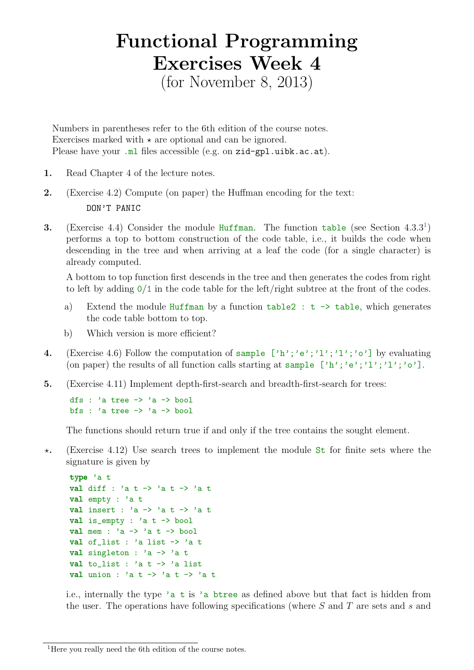## Functional Programming Exercises Week 4

(for November 8, 2013)

Numbers in parentheses refer to the 6th edition of the course notes. Exercises marked with  $\star$  are optional and can be ignored. Please have your .ml files accessible (e.g. on zid-gpl.uibk.ac.at).

- 1. Read Chapter 4 of the lecture notes.
- 2. (Exercise 4.2) Compute (on paper) the Huffman encoding for the text: DON'T PANIC
- **3.** (Exercise 4.4) Consider the module Huffman. The function table (see Section  $4.3.3<sup>1</sup>$  $4.3.3<sup>1</sup>$  $4.3.3<sup>1</sup>$ ) performs a top to bottom construction of the code table, i.e., it builds the code when descending in the tree and when arriving at a leaf the code (for a single character) is already computed.

A bottom to top function first descends in the tree and then generates the codes from right to left by adding  $0/1$  in the code table for the left/right subtree at the front of the codes.

- a) Extend the module Huffman by a function  $table2 : t \rightarrow table$ , which generates the code table bottom to top.
- b) Which version is more efficient?
- 4. (Exercise 4.6) Follow the computation of sample  $[\cdot h', \cdot e', \cdot l', \cdot l', \cdot o']$  by evaluating (on paper) the results of all function calls starting at sample  $[\n'h'; 'e'; 'l'; 'l'; 'o']$ .
- 5. (Exercise 4.11) Implement depth-first-search and breadth-first-search for trees:

dfs : 'a tree -> 'a -> bool bfs : 'a tree  $\rightarrow$  'a  $\rightarrow$  bool

The functions should return true if and only if the tree contains the sought element.

 $\star$ . (Exercise 4.12) Use search trees to implement the module St for finite sets where the signature is given by

```
type 'a t
val diff : 'a t -> 'a t -> 'a t
val empty : 'a t
val insert : 'a -> 'a t -> 'a t
val is_empty : 'a t \rightarrow bool
val mem : 'a -> 'a t -> bool
val of_list : 'a list -> 'a t
val singleton : a \rightarrow a tval to_list : 'a t -> 'a list
val union : 'a t \rightarrow 'a t \rightarrow 'a t
```
i.e., internally the type 'a t is 'a btree as defined above but that fact is hidden from the user. The operations have following specifications (where  $S$  and  $T$  are sets and  $s$  and

<span id="page-0-0"></span><sup>1</sup>Here you really need the 6th edition of the course notes.